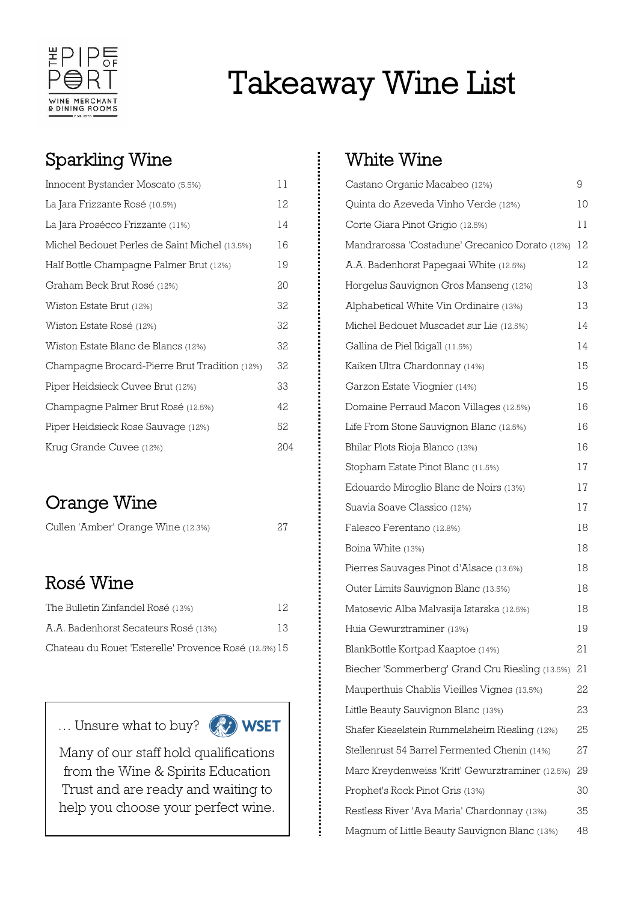

# Takeaway Wine List

#### Sparkling Wine

| Innocent Bystander Moscato (5.5%)             | 11  |
|-----------------------------------------------|-----|
| La Jara Frizzante Rosé (10.5%)                | 12  |
| La Jara Prosécco Frizzante (11%)              | 14  |
| Michel Bedouet Perles de Saint Michel (13.5%) | 16  |
| Half Bottle Champagne Palmer Brut (12%)       | 19  |
| Graham Beck Brut Rosé (12%)                   | 20  |
| Wiston Estate Brut (12%)                      | 32  |
| Wiston Estate Rosé (12%)                      | 32  |
| Wiston Estate Blanc de Blancs (12%)           | 32  |
| Champagne Brocard-Pierre Brut Tradition (12%) | 32  |
| Piper Heidsieck Cuvee Brut (12%)              | 33  |
| Champagne Palmer Brut Rosé (12.5%)            | 42  |
| Piper Heidsieck Rose Sauvage (12%)            | 52  |
| Krug Grande Cuvee (12%)                       | 204 |

### Orange Wine

| Cullen 'Amber' Orange Wine (12.3%) | 27 |
|------------------------------------|----|
|------------------------------------|----|

#### Rosé Wine

Ē

| The Bulletin Zinfandel Rosé (13%)                     | 12 |
|-------------------------------------------------------|----|
| A.A. Badenhorst Secateurs Rosé (13%)                  | 13 |
| Chateau du Rouet 'Esterelle' Provence Rosé (12.5%) 15 |    |

… Unsure what to buy? **WSET** 



Many of our staff hold qualifications from the Wine & Spirits Education Trust and are ready and waiting to help you choose your perfect wine.

#### White Wine

| Castano Organic Macabeo (12%)                    | 9  |
|--------------------------------------------------|----|
| Quinta do Azeveda Vinho Verde (12%)              | 10 |
| Corte Giara Pinot Grigio (12.5%)                 | 11 |
| Mandrarossa 'Costadune' Grecanico Dorato (12%)   | 12 |
| A.A. Badenhorst Papegaai White (12.5%)           | 12 |
| Horgelus Sauvignon Gros Manseng (12%)            | 13 |
| Alphabetical White Vin Ordinaire (13%)           | 13 |
| Michel Bedouet Muscadet sur Lie (12.5%)          | 14 |
| Gallina de Piel Ikigall (11.5%)                  | 14 |
| Kaiken Ultra Chardonnay (14%)                    | 15 |
| Garzon Estate Vioqnier (14%)                     | 15 |
| Domaine Perraud Macon Villages (12.5%)           | 16 |
| Life From Stone Sauvignon Blanc (12.5%)          | 16 |
| Bhilar Plots Rioja Blanco (13%)                  | 16 |
| Stopham Estate Pinot Blanc (11.5%)               | 17 |
| Edouardo Miroglio Blanc de Noirs (13%)           | 17 |
| Suavia Soave Classico (12%)                      | 17 |
| Falesco Ferentano (12.8%)                        | 18 |
| Boina White (13%)                                | 18 |
| Pierres Sauvages Pinot d'Alsace (13.6%)          | 18 |
| Outer Limits Sauvignon Blanc (13.5%)             | 18 |
| Matosevic Alba Malvasija Istarska (12.5%)        | 18 |
| Huia Gewurztraminer (13%)                        | 19 |
| BlankBottle Kortpad Kaaptoe (14%)                | 21 |
| Biecher 'Sommerberg' Grand Cru Riesling (13.5%)  | 21 |
| Mauperthuis Chablis Vieilles Vignes (13.5%)      | 22 |
| Little Beauty Sauvignon Blanc (13%)              | 23 |
| Shafer Kieselstein Rummelsheim Riesling (12%)    | 25 |
| Stellenrust 54 Barrel Fermented Chenin (14%)     | 27 |
| Marc Kreydenweiss 'Kritt' Gewurztraminer (12.5%) | 29 |
| Prophet's Rock Pinot Gris (13%)                  | 30 |
| Restless River 'Ava Maria' Chardonnay (13%)      | 35 |
| Magnum of Little Beauty Sauvignon Blanc (13%)    | 48 |